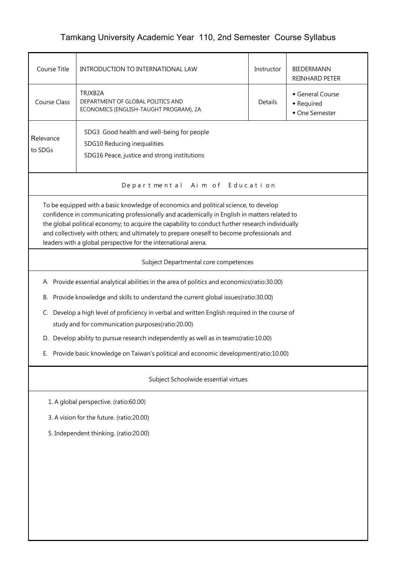## Tamkang University Academic Year 110, 2nd Semester Course Syllabus

| Course Title                                                                                                                                                                                                                                                                                                                                                                                                                                              | INTRODUCTION TO INTERNATIONAL LAW                                                                                         | Instructor | BIEDERMANN<br>REINHARD PETER                   |  |  |  |  |  |
|-----------------------------------------------------------------------------------------------------------------------------------------------------------------------------------------------------------------------------------------------------------------------------------------------------------------------------------------------------------------------------------------------------------------------------------------------------------|---------------------------------------------------------------------------------------------------------------------------|------------|------------------------------------------------|--|--|--|--|--|
| Course Class                                                                                                                                                                                                                                                                                                                                                                                                                                              | TRJXB2A<br>DEPARTMENT OF GLOBAL POLITICS AND<br>ECONOMICS (ENGLISH-TAUGHT PROGRAM), 2A                                    | Details    | General Course<br>• Required<br>• One Semester |  |  |  |  |  |
| Relevance<br>to SDGs                                                                                                                                                                                                                                                                                                                                                                                                                                      | SDG3 Good health and well-being for people<br>SDG10 Reducing inequalities<br>SDG16 Peace, justice and strong institutions |            |                                                |  |  |  |  |  |
| Departmental Aim of Education                                                                                                                                                                                                                                                                                                                                                                                                                             |                                                                                                                           |            |                                                |  |  |  |  |  |
| To be equipped with a basic knowledge of economics and political science, to develop<br>confidence in communicating professionally and academically in English in matters related to<br>the global political economy; to acquire the capability to conduct further research individually<br>and collectively with others; and ultimately to prepare oneself to become professionals and<br>leaders with a global perspective for the international arena. |                                                                                                                           |            |                                                |  |  |  |  |  |
|                                                                                                                                                                                                                                                                                                                                                                                                                                                           | Subject Departmental core competences                                                                                     |            |                                                |  |  |  |  |  |
|                                                                                                                                                                                                                                                                                                                                                                                                                                                           | A. Provide essential analytical abilities in the area of politics and economics(ratio:30.00)                              |            |                                                |  |  |  |  |  |
|                                                                                                                                                                                                                                                                                                                                                                                                                                                           | B. Provide knowledge and skills to understand the current global issues(ratio:30.00)                                      |            |                                                |  |  |  |  |  |
| C.                                                                                                                                                                                                                                                                                                                                                                                                                                                        | Develop a high level of proficiency in verbal and written English required in the course of                               |            |                                                |  |  |  |  |  |
|                                                                                                                                                                                                                                                                                                                                                                                                                                                           | study and for communication purposes(ratio:20.00)                                                                         |            |                                                |  |  |  |  |  |
|                                                                                                                                                                                                                                                                                                                                                                                                                                                           | D. Develop ability to pursue research independently as well as in teams(ratio:10.00)                                      |            |                                                |  |  |  |  |  |
|                                                                                                                                                                                                                                                                                                                                                                                                                                                           | E. Provide basic knowledge on Taiwan's political and economic development(ratio:10.00)                                    |            |                                                |  |  |  |  |  |
| Subject Schoolwide essential virtues                                                                                                                                                                                                                                                                                                                                                                                                                      |                                                                                                                           |            |                                                |  |  |  |  |  |
|                                                                                                                                                                                                                                                                                                                                                                                                                                                           | 1. A global perspective. (ratio:60.00)                                                                                    |            |                                                |  |  |  |  |  |
| 3. A vision for the future. (ratio:20.00)                                                                                                                                                                                                                                                                                                                                                                                                                 |                                                                                                                           |            |                                                |  |  |  |  |  |
| 5. Independent thinking. (ratio:20.00)                                                                                                                                                                                                                                                                                                                                                                                                                    |                                                                                                                           |            |                                                |  |  |  |  |  |
|                                                                                                                                                                                                                                                                                                                                                                                                                                                           |                                                                                                                           |            |                                                |  |  |  |  |  |
|                                                                                                                                                                                                                                                                                                                                                                                                                                                           |                                                                                                                           |            |                                                |  |  |  |  |  |
|                                                                                                                                                                                                                                                                                                                                                                                                                                                           |                                                                                                                           |            |                                                |  |  |  |  |  |
|                                                                                                                                                                                                                                                                                                                                                                                                                                                           |                                                                                                                           |            |                                                |  |  |  |  |  |
|                                                                                                                                                                                                                                                                                                                                                                                                                                                           |                                                                                                                           |            |                                                |  |  |  |  |  |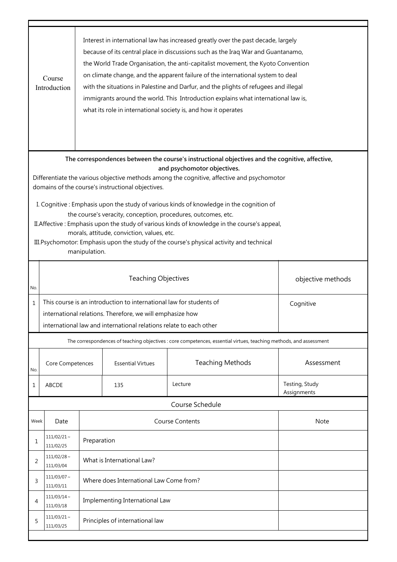| Interest in international law has increased greatly over the past decade, largely<br>because of its central place in discussions such as the Iraq War and Guantanamo,<br>the World Trade Organisation, the anti-capitalist movement, the Kyoto Convention<br>on climate change, and the apparent failure of the international system to deal<br>Course<br>with the situations in Palestine and Darfur, and the plights of refugees and illegal<br>Introduction<br>immigrants around the world. This Introduction explains what international law is,<br>what its role in international society is, and how it operates                                                                                    |                                                                                                                                                                                                                     |                                         |                          |                                                                                                                    |                               |  |  |
|-----------------------------------------------------------------------------------------------------------------------------------------------------------------------------------------------------------------------------------------------------------------------------------------------------------------------------------------------------------------------------------------------------------------------------------------------------------------------------------------------------------------------------------------------------------------------------------------------------------------------------------------------------------------------------------------------------------|---------------------------------------------------------------------------------------------------------------------------------------------------------------------------------------------------------------------|-----------------------------------------|--------------------------|--------------------------------------------------------------------------------------------------------------------|-------------------------------|--|--|
| The correspondences between the course's instructional objectives and the cognitive, affective,<br>and psychomotor objectives.<br>Differentiate the various objective methods among the cognitive, affective and psychomotor<br>domains of the course's instructional objectives.<br>I. Cognitive: Emphasis upon the study of various kinds of knowledge in the cognition of<br>the course's veracity, conception, procedures, outcomes, etc.<br>II. Affective: Emphasis upon the study of various kinds of knowledge in the course's appeal,<br>morals, attitude, conviction, values, etc.<br>III. Psychomotor: Emphasis upon the study of the course's physical activity and technical<br>manipulation. |                                                                                                                                                                                                                     |                                         |                          |                                                                                                                    |                               |  |  |
| No.                                                                                                                                                                                                                                                                                                                                                                                                                                                                                                                                                                                                                                                                                                       |                                                                                                                                                                                                                     | <b>Teaching Objectives</b>              |                          |                                                                                                                    | objective methods             |  |  |
| $\mathbf{1}$                                                                                                                                                                                                                                                                                                                                                                                                                                                                                                                                                                                                                                                                                              | This course is an introduction to international law for students of<br>Cognitive<br>international relations. Therefore, we will emphasize how<br>international law and international relations relate to each other |                                         |                          |                                                                                                                    |                               |  |  |
|                                                                                                                                                                                                                                                                                                                                                                                                                                                                                                                                                                                                                                                                                                           |                                                                                                                                                                                                                     |                                         |                          | The correspondences of teaching objectives : core competences, essential virtues, teaching methods, and assessment |                               |  |  |
| No.                                                                                                                                                                                                                                                                                                                                                                                                                                                                                                                                                                                                                                                                                                       | Core Competences                                                                                                                                                                                                    |                                         | <b>Essential Virtues</b> | <b>Teaching Methods</b>                                                                                            | Assessment                    |  |  |
| 1                                                                                                                                                                                                                                                                                                                                                                                                                                                                                                                                                                                                                                                                                                         | <b>ABCDE</b>                                                                                                                                                                                                        |                                         | 135                      | Lecture                                                                                                            | Testing, Study<br>Assignments |  |  |
|                                                                                                                                                                                                                                                                                                                                                                                                                                                                                                                                                                                                                                                                                                           |                                                                                                                                                                                                                     |                                         |                          | Course Schedule                                                                                                    |                               |  |  |
| Week                                                                                                                                                                                                                                                                                                                                                                                                                                                                                                                                                                                                                                                                                                      | <b>Course Contents</b><br>Date                                                                                                                                                                                      |                                         | <b>Note</b>              |                                                                                                                    |                               |  |  |
| 1                                                                                                                                                                                                                                                                                                                                                                                                                                                                                                                                                                                                                                                                                                         | $111/02/21$ ~<br>111/02/25                                                                                                                                                                                          | Preparation                             |                          |                                                                                                                    |                               |  |  |
| 2                                                                                                                                                                                                                                                                                                                                                                                                                                                                                                                                                                                                                                                                                                         | $111/02/28$ ~<br>111/03/04                                                                                                                                                                                          | What is International Law?              |                          |                                                                                                                    |                               |  |  |
| 3                                                                                                                                                                                                                                                                                                                                                                                                                                                                                                                                                                                                                                                                                                         | $111/03/07$ ~<br>111/03/11                                                                                                                                                                                          | Where does International Law Come from? |                          |                                                                                                                    |                               |  |  |
| 4                                                                                                                                                                                                                                                                                                                                                                                                                                                                                                                                                                                                                                                                                                         | $111/03/14$ ~<br>111/03/18                                                                                                                                                                                          | Implementing International Law          |                          |                                                                                                                    |                               |  |  |
| 5                                                                                                                                                                                                                                                                                                                                                                                                                                                                                                                                                                                                                                                                                                         | $111/03/21$ ~<br>111/03/25                                                                                                                                                                                          | Principles of international law         |                          |                                                                                                                    |                               |  |  |